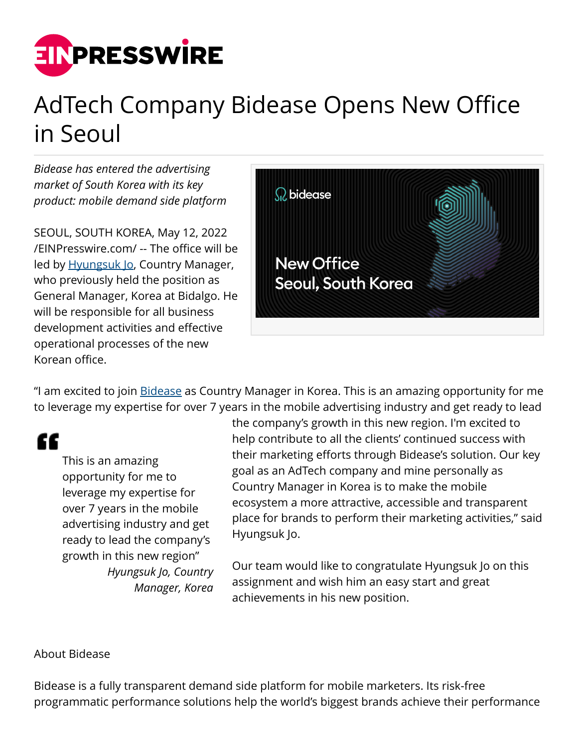

## AdTech Company Bidease Opens New Office in Seoul

*Bidease has entered the advertising market of South Korea with its key product: mobile demand side platform*

SEOUL, SOUTH KOREA, May 12, 2022 [/EINPresswire.com/](http://www.einpresswire.com) -- The office will be led by [Hyungsuk Jo,](https://www.linkedin.com/in/hyungsuk-jo-459434a2/) Country Manager, who previously held the position as General Manager, Korea at Bidalgo. He will be responsible for all business development activities and effective operational processes of the new Korean office.



"I am excited to join [Bidease](https://bidease.com/) as Country Manager in Korea. This is an amazing opportunity for me to leverage my expertise for over 7 years in the mobile advertising industry and get ready to lead

"

This is an amazing opportunity for me to leverage my expertise for over 7 years in the mobile advertising industry and get ready to lead the company's growth in this new region" *Hyungsuk Jo, Country Manager, Korea* the company's growth in this new region. I'm excited to help contribute to all the clients' continued success with their marketing efforts through Bidease's solution. Our key goal as an AdTech company and mine personally as Country Manager in Korea is to make the mobile ecosystem a more attractive, accessible and transparent place for brands to perform their marketing activities," said Hyungsuk Jo.

Our team would like to congratulate Hyungsuk Jo on this assignment and wish him an easy start and great achievements in his new position.

## About Bidease

Bidease is a fully transparent demand side platform for mobile marketers. Its risk-free programmatic performance solutions help the world's biggest brands achieve their performance